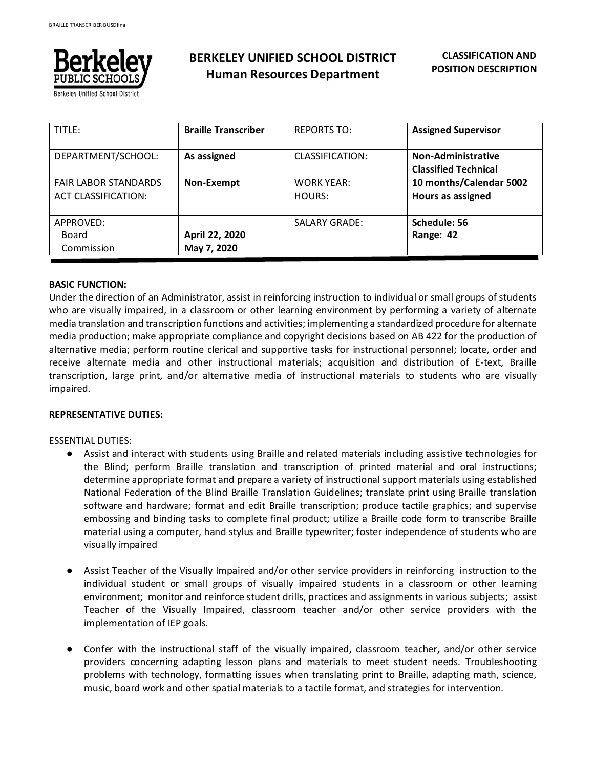

**BERKELEY UNIFIED SCHOOL DISTRICT Human Resources Department**

| TITLE:                                             | <b>Braille Transcriber</b>    | <b>REPORTS TO:</b>          | <b>Assigned Supervisor</b>                               |
|----------------------------------------------------|-------------------------------|-----------------------------|----------------------------------------------------------|
| DEPARTMENT/SCHOOL:                                 | As assigned                   | CLASSIFICATION:             | <b>Non-Administrative</b><br><b>Classified Technical</b> |
| <b>FAIR LABOR STANDARDS</b><br>ACT CLASSIFICATION: | Non-Exempt                    | <b>WORK YEAR:</b><br>HOURS: | 10 months/Calendar 5002<br>Hours as assigned             |
| APPROVED:<br>Board<br>Commission                   | April 22, 2020<br>May 7, 2020 | <b>SALARY GRADE:</b>        | Schedule: 56<br>Range: 42                                |

#### **BASIC FUNCTION:**

Under the direction of an Administrator, assist in reinforcing instruction to individual or small groups of students who are visually impaired, in a classroom or other learning environment by performing a variety of alternate media translation and transcription functions and activities; implementing a standardized procedure for alternate media production; make appropriate compliance and copyright decisions based on AB 422 for the production of alternative media; perform routine clerical and supportive tasks for instructional personnel; locate, order and receive alternate media and other instructional materials; acquisition and distribution of E-text, Braille transcription, large print, and/or alternative media of instructional materials to students who are visually impaired.

#### **REPRESENTATIVE DUTIES:**

#### ESSENTIAL DUTIES:

- Assist and interact with students using Braille and related materials including assistive technologies for the Blind; perform Braille translation and transcription of printed material and oral instructions; determine appropriate format and prepare a variety of instructional support materials using established National Federation of the Blind Braille Translation Guidelines; translate print using Braille translation software and hardware; format and edit Braille transcription; produce tactile graphics; and supervise embossing and binding tasks to complete final product; utilize a Braille code form to transcribe Braille material using a computer, hand stylus and Braille typewriter; foster independence of students who are visually impaired
- Assist Teacher of the Visually Impaired and/or other service providers in reinforcing instruction to the individual student or small groups of visually impaired students in a classroom or other learning environment; monitor and reinforce student drills, practices and assignments in various subjects; assist Teacher of the Visually Impaired, classroom teacher and/or other service providers with the implementation of IEP goals.
- Confer with the instructional staff of the visually impaired, classroom teacher**,** and/or other service providers concerning adapting lesson plans and materials to meet student needs. Troubleshooting problems with technology, formatting issues when translating print to Braille, adapting math, science, music, board work and other spatial materials to a tactile format, and strategies for intervention.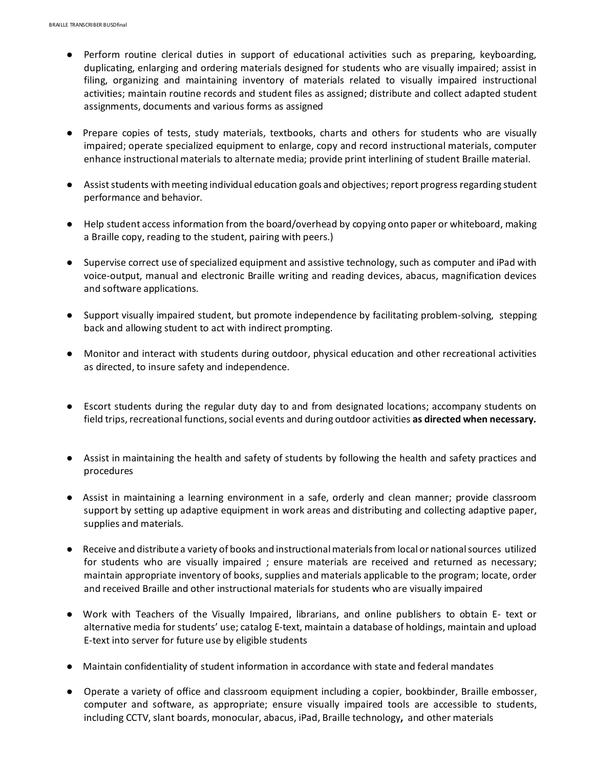- Perform routine clerical duties in support of educational activities such as preparing, keyboarding, duplicating, enlarging and ordering materials designed for students who are visually impaired; assist in filing, organizing and maintaining inventory of materials related to visually impaired instructional activities; maintain routine records and student files as assigned; distribute and collect adapted student assignments, documents and various forms as assigned
- Prepare copies of tests, study materials, textbooks, charts and others for students who are visually impaired; operate specialized equipment to enlarge, copy and record instructional materials, computer enhance instructional materials to alternate media; provide print interlining of student Braille material.
- Assist students with meeting individual education goals and objectives; report progress regarding student performance and behavior.
- Help student access information from the board/overhead by copying onto paper or whiteboard, making a Braille copy, reading to the student, pairing with peers.)
- Supervise correct use of specialized equipment and assistive technology, such as computer and iPad with voice-output, manual and electronic Braille writing and reading devices, abacus, magnification devices and software applications.
- Support visually impaired student, but promote independence by facilitating problem-solving, stepping back and allowing student to act with indirect prompting.
- Monitor and interact with students during outdoor, physical education and other recreational activities as directed, to insure safety and independence.
- Escort students during the regular duty day to and from designated locations; accompany students on field trips, recreational functions, social events and during outdoor activities **as directed when necessary.**
- Assist in maintaining the health and safety of students by following the health and safety practices and procedures
- Assist in maintaining a learning environment in a safe, orderly and clean manner; provide classroom support by setting up adaptive equipment in work areas and distributing and collecting adaptive paper, supplies and materials.
- Receive and distribute a variety of books and instructional materials from local or national sources utilized for students who are visually impaired ; ensure materials are received and returned as necessary; maintain appropriate inventory of books, supplies and materials applicable to the program; locate, order and received Braille and other instructional materials for students who are visually impaired
- Work with Teachers of the Visually Impaired, librarians, and online publishers to obtain E- text or alternative media for students' use; catalog E-text, maintain a database of holdings, maintain and upload E-text into server for future use by eligible students
- Maintain confidentiality of student information in accordance with state and federal mandates
- Operate a variety of office and classroom equipment including a copier, bookbinder, Braille embosser, computer and software, as appropriate; ensure visually impaired tools are accessible to students, including CCTV, slant boards, monocular, abacus, iPad, Braille technology**,** and other materials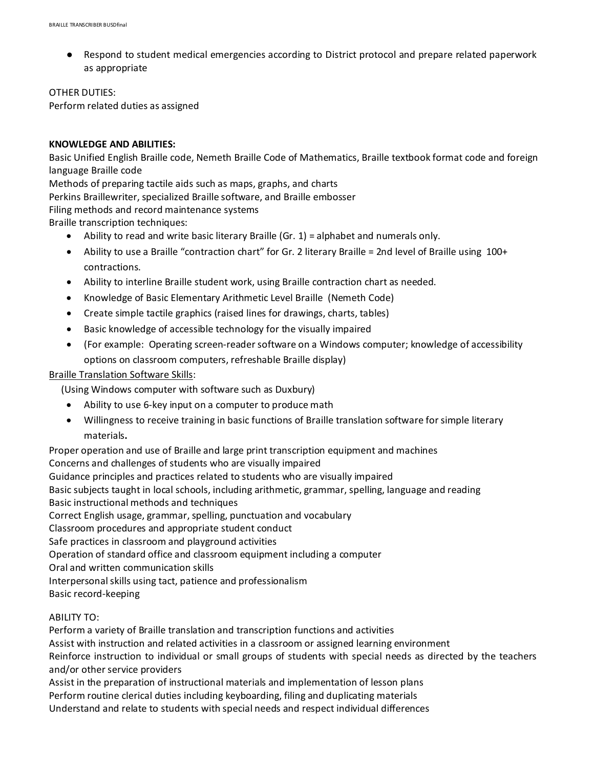● Respond to student medical emergencies according to District protocol and prepare related paperwork as appropriate

#### OTHER DUTIES:

Perform related duties as assigned

## **KNOWLEDGE AND ABILITIES:**

Basic Unified English Braille code, Nemeth Braille Code of Mathematics, Braille textbook format code and foreign language Braille code

Methods of preparing tactile aids such as maps, graphs, and charts

Perkins Braillewriter, specialized Braille software, and Braille embosser

Filing methods and record maintenance systems

Braille transcription techniques:

- $\bullet$  Ability to read and write basic literary Braille (Gr. 1) = alphabet and numerals only.
- Ability to use a Braille "contraction chart" for Gr. 2 literary Braille = 2nd level of Braille using 100+ contractions.
- Ability to interline Braille student work, using Braille contraction chart as needed.
- Knowledge of Basic Elementary Arithmetic Level Braille (Nemeth Code)
- Create simple tactile graphics (raised lines for drawings, charts, tables)
- Basic knowledge of accessible technology for the visually impaired
- (For example: Operating screen-reader software on a Windows computer; knowledge of accessibility options on classroom computers, refreshable Braille display)

## Braille Translation Software Skills:

(Using Windows computer with software such as Duxbury)

- Ability to use 6-key input on a computer to produce math
- Willingness to receive training in basic functions of Braille translation software for simple literary materials**.**

Proper operation and use of Braille and large print transcription equipment and machines Concerns and challenges of students who are visually impaired Guidance principles and practices related to students who are visually impaired Basic subjects taught in local schools, including arithmetic, grammar, spelling, language and reading Basic instructional methods and techniques Correct English usage, grammar, spelling, punctuation and vocabulary Classroom procedures and appropriate student conduct Safe practices in classroom and playground activities Operation of standard office and classroom equipment including a computer Oral and written communication skills Interpersonal skills using tact, patience and professionalism Basic record-keeping

## ABILITY TO:

Perform a variety of Braille translation and transcription functions and activities Assist with instruction and related activities in a classroom or assigned learning environment Reinforce instruction to individual or small groups of students with special needs as directed by the teachers and/or other service providers

Assist in the preparation of instructional materials and implementation of lesson plans Perform routine clerical duties including keyboarding, filing and duplicating materials Understand and relate to students with special needs and respect individual differences